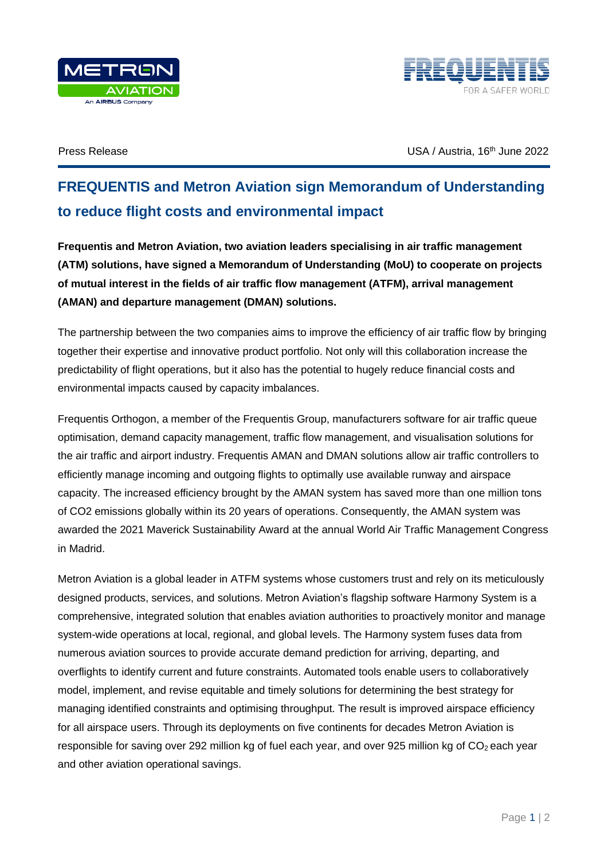



Press Release June 2022 **USA** / Austria, 16<sup>th</sup> June 2022

## **FREQUENTIS and Metron Aviation sign Memorandum of Understanding to reduce flight costs and environmental impact**

**Frequentis and Metron Aviation, two aviation leaders specialising in air traffic management (ATM) solutions, have signed a Memorandum of Understanding (MoU) to cooperate on projects of mutual interest in the fields of air traffic flow management (ATFM), arrival management (AMAN) and departure management (DMAN) solutions.**

The partnership between the two companies aims to improve the efficiency of air traffic flow by bringing together their expertise and innovative product portfolio. Not only will this collaboration increase the predictability of flight operations, but it also has the potential to hugely reduce financial costs and environmental impacts caused by capacity imbalances.

Frequentis Orthogon, a member of the Frequentis Group, manufacturers software for air traffic queue optimisation, demand capacity management, traffic flow management, and visualisation solutions for the air traffic and airport industry. Frequentis AMAN and DMAN solutions allow air traffic controllers to efficiently manage incoming and outgoing flights to optimally use available runway and airspace capacity. The increased efficiency brought by the AMAN system has saved more than one million tons of CO2 emissions globally within its 20 years of operations. Consequently, the AMAN system was awarded the 2021 Maverick Sustainability Award at the annual World Air Traffic Management Congress in Madrid.

Metron Aviation is a global leader in ATFM systems whose customers trust and rely on its meticulously designed products, services, and solutions. Metron Aviation's flagship software Harmony System is a comprehensive, integrated solution that enables aviation authorities to proactively monitor and manage system-wide operations at local, regional, and global levels. The Harmony system fuses data from numerous aviation sources to provide accurate demand prediction for arriving, departing, and overflights to identify current and future constraints. Automated tools enable users to collaboratively model, implement, and revise equitable and timely solutions for determining the best strategy for managing identified constraints and optimising throughput. The result is improved airspace efficiency for all airspace users. Through its deployments on five continents for decades Metron Aviation is responsible for saving over 292 million kg of fuel each year, and over 925 million kg of CO<sub>2</sub> each year and other aviation operational savings.